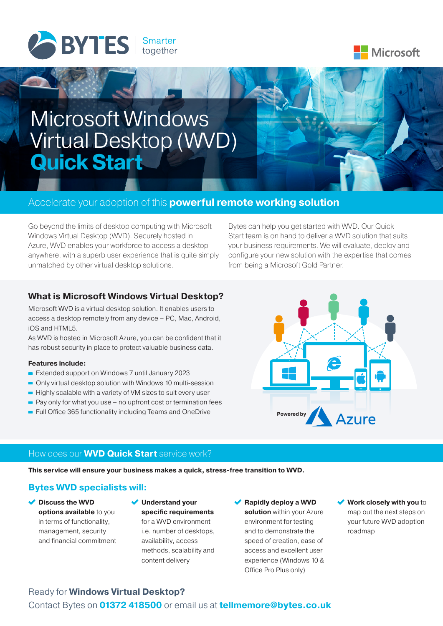



# Microsoft Windows Virtual Desktop (WVD) **Quick Start**

# Accelerate your adoption of this **powerful remote working solution**

Go beyond the limits of desktop computing with Microsoft Windows Virtual Desktop (WVD). Securely hosted in Azure, WVD enables your workforce to access a desktop anywhere, with a superb user experience that is quite simply unmatched by other virtual desktop solutions.

Bytes can help you get started with WVD. Our Quick Start team is on hand to deliver a WVD solution that suits your business requirements. We will evaluate, deploy and configure your new solution with the expertise that comes from being a Microsoft Gold Partner.

## **What is Microsoft Windows Virtual Desktop?**

Microsoft WVD is a virtual desktop solution. It enables users to access a desktop remotely from any device – PC, Mac, Android, iOS and HTML5.

As WVD is hosted in Microsoft Azure, you can be confident that it has robust security in place to protect valuable business data.

#### **Features include:**

- Extended support on Windows 7 until January 2023
- Only virtual desktop solution with Windows 10 multi-session
- $\blacksquare$  Highly scalable with a variety of VM sizes to suit every user
- $\blacksquare$  Pay only for what you use no upfront cost or termination fees
- Full Office 365 functionality including Teams and OneDrive



## How does our **WVD Quick Start** service work?

**This service will ensure your business makes a quick, stress-free transition to WVD.** 

# **Bytes WVD specialists will:**

- **Discuss the WVD options available** to you in terms of functionality, management, security and financial commitment
- **Understand your specific requirements** for a WVD environment i.e. number of desktops, availability, access methods, scalability and content delivery

#### **Rapidly deploy a WVD**

**solution** within your Azure environment for testing and to demonstrate the speed of creation, ease of access and excellent user experience (Windows 10 & Office Pro Plus only)

**Work closely with you** to map out the next steps on your future WVD adoption roadmap

# Ready for **Windows Virtual Desktop?**

Contact Bytes on **01372 418500** or email us at **tellmemore@bytes.co.uk**